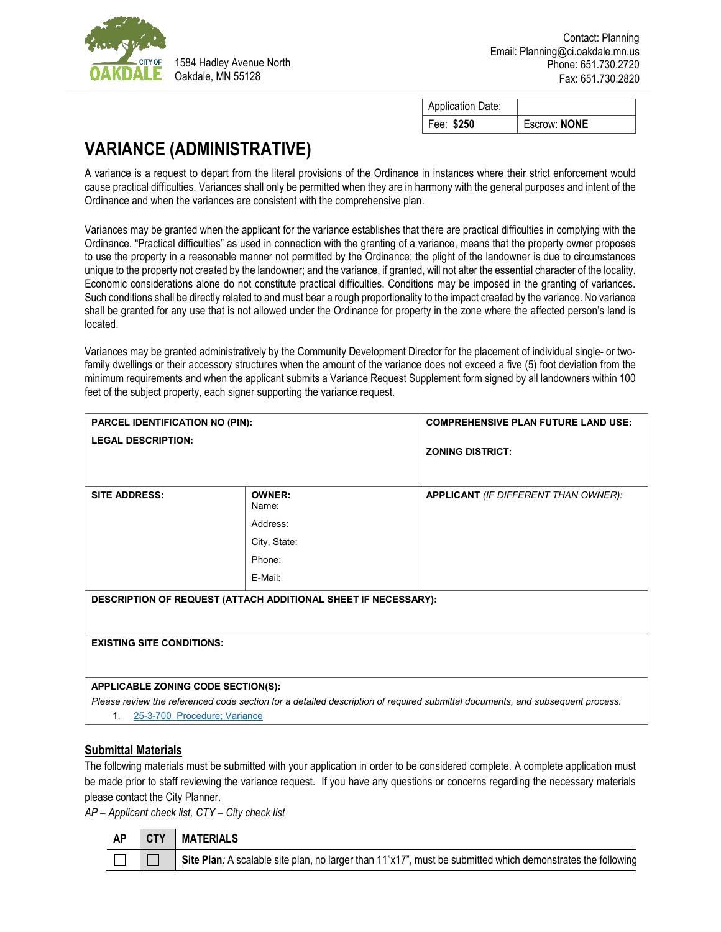

1584 Hadley Avenue North Oakdale, MN 55128

| <b>Application Date:</b> |              |
|--------------------------|--------------|
| Fee: \$250               | Escrow: NONE |

## **VARIANCE (ADMINISTRATIVE)**

A variance is a request to depart from the literal provisions of the Ordinance in instances where their strict enforcement would cause practical difficulties. Variances shall only be permitted when they are in harmony with the general purposes and intent of the Ordinance and when the variances are consistent with the comprehensive plan.

Variances may be granted when the applicant for the variance establishes that there are practical difficulties in complying with the Ordinance. "Practical difficulties" as used in connection with the granting of a variance, means that the property owner proposes to use the property in a reasonable manner not permitted by the Ordinance; the plight of the landowner is due to circumstances unique to the property not created by the landowner; and the variance, if granted, will not alter the essential character of the locality. Economic considerations alone do not constitute practical difficulties. Conditions may be imposed in the granting of variances. Such conditions shall be directly related to and must bear a rough proportionality to the impact created by the variance. No variance shall be granted for any use that is not allowed under the Ordinance for property in the zone where the affected person's land is located.

Variances may be granted administratively by the Community Development Director for the placement of individual single- or twofamily dwellings or their accessory structures when the amount of the variance does not exceed a five (5) foot deviation from the minimum requirements and when the applicant submits a Variance Request Supplement form signed by all landowners within 100 feet of the subject property, each signer supporting the variance request.

| PARCEL IDENTIFICATION NO (PIN):                                                                                                                                                                           |                                                                  | <b>COMPREHENSIVE PLAN FUTURE LAND USE:</b>  |  |  |  |  |
|-----------------------------------------------------------------------------------------------------------------------------------------------------------------------------------------------------------|------------------------------------------------------------------|---------------------------------------------|--|--|--|--|
| <b>LEGAL DESCRIPTION:</b>                                                                                                                                                                                 |                                                                  | <b>ZONING DISTRICT:</b>                     |  |  |  |  |
| <b>SITE ADDRESS:</b>                                                                                                                                                                                      | OWNER:<br>Name:<br>Address:<br>City, State:<br>Phone:<br>E-Mail: | <b>APPLICANT</b> (IF DIFFERENT THAN OWNER): |  |  |  |  |
| DESCRIPTION OF REQUEST (ATTACH ADDITIONAL SHEET IF NECESSARY):                                                                                                                                            |                                                                  |                                             |  |  |  |  |
| <b>EXISTING SITE CONDITIONS:</b>                                                                                                                                                                          |                                                                  |                                             |  |  |  |  |
| APPLICABLE ZONING CODE SECTION(S):<br>Please review the referenced code section for a detailed description of required submittal documents, and subsequent process.<br>25-3-700 Procedure; Variance<br>1. |                                                                  |                                             |  |  |  |  |

## **Submittal Materials**

The following materials must be submitted with your application in order to be considered complete. A complete application must be made prior to staff reviewing the variance request. If you have any questions or concerns regarding the necessary materials please contact the City Planner.

*AP – Applicant check list, CTY – City check list*

| <b>AP</b> | <b>CTY   MATERIALS</b>                                                                                         |
|-----------|----------------------------------------------------------------------------------------------------------------|
|           | Site Plan: A scalable site plan, no larger than $11"x17"$ , must be submitted which demonstrates the following |